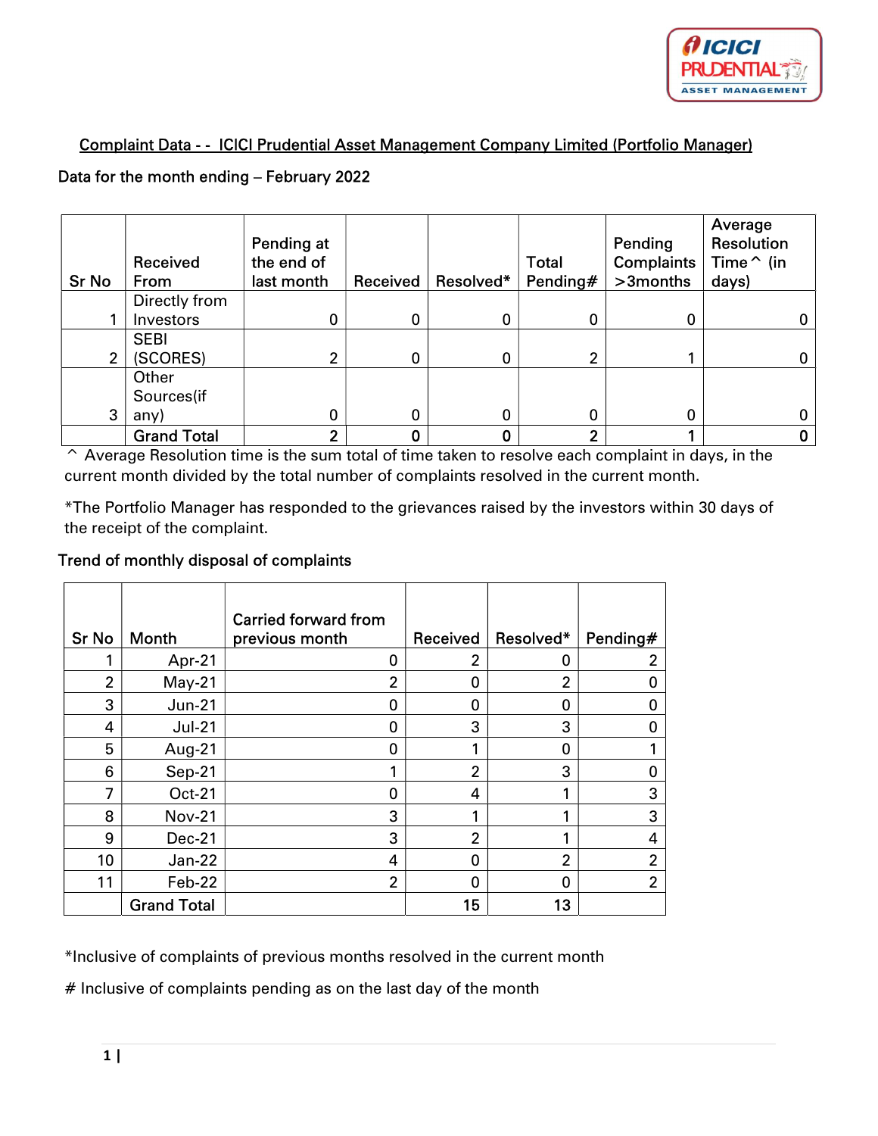

## Complaint Data - - ICICI Prudential Asset Management Company Limited (Portfolio Manager)

## Data for the month ending – February 2022

| <b>Sr No</b> | Received<br>From   | Pending at<br>the end of<br>last month | Received | Resolved* | <b>Total</b><br>Pending# | Pending<br><b>Complaints</b><br>>3months | Average<br>Resolution<br>Time $\hat{}$ (in<br>days) |
|--------------|--------------------|----------------------------------------|----------|-----------|--------------------------|------------------------------------------|-----------------------------------------------------|
|              | Directly from      |                                        |          |           |                          |                                          |                                                     |
|              | Investors          | 0                                      | 0        | 0         | 0                        | 0                                        |                                                     |
|              | <b>SEBI</b>        |                                        |          |           |                          |                                          |                                                     |
| 2            | (SCORES)           | ◠                                      | 0        | 0         | 2                        |                                          |                                                     |
|              | Other              |                                        |          |           |                          |                                          |                                                     |
|              | Sources(if         |                                        |          |           |                          |                                          |                                                     |
| 3            | any)               | 0                                      | 0        | 0         | 0                        | 0                                        |                                                     |
|              | <b>Grand Total</b> | າ                                      |          | 0         | ົ                        |                                          |                                                     |

^ Average Resolution time is the sum total of time taken to resolve each complaint in days, in the current month divided by the total number of complaints resolved in the current month.

\*The Portfolio Manager has responded to the grievances raised by the investors within 30 days of the receipt of the complaint.

## Trend of monthly disposal of complaints

| <b>Sr No</b>   | <b>Month</b>       | <b>Carried forward from</b><br>previous month | Received       | Resolved*      | Pending#       |
|----------------|--------------------|-----------------------------------------------|----------------|----------------|----------------|
|                | Apr-21             | 0                                             | 2              | 0              | 2              |
| $\overline{2}$ | $May-21$           | $\overline{2}$                                | $\Omega$       | $\overline{2}$ | 0              |
| 3              | $Jun-21$           | 0                                             | 0              | 0              | 0              |
| 4              | $Jul-21$           | 0                                             | 3              | 3              | 0              |
| 5              | Aug-21             | 0                                             |                | 0              |                |
| 6              | Sep-21             | 1                                             | $\overline{2}$ | 3              | 0              |
| 7              | Oct-21             | 0                                             | 4              | 1              | 3              |
| 8              | <b>Nov-21</b>      | 3                                             |                | 1              | 3              |
| 9              | Dec-21             | 3                                             | $\overline{2}$ | 1              | 4              |
| 10             | Jan-22             | 4                                             | $\Omega$       | $\overline{2}$ | $\overline{2}$ |
| 11             | Feb-22             | $\overline{2}$                                | $\Omega$       | 0              | $\overline{2}$ |
|                | <b>Grand Total</b> |                                               | 15             | 13             |                |

\*Inclusive of complaints of previous months resolved in the current month

# Inclusive of complaints pending as on the last day of the month